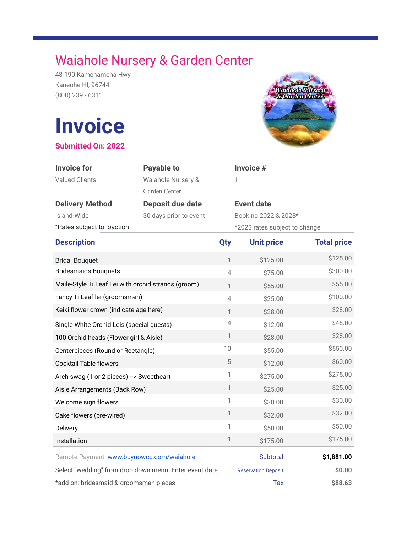## Waiahole Nursery & Garden Center

48-190 Kamehameha Hwy Kaneohe HI, 96744 (808) 239 - 6311

## **Invoice**

**Submitted On: 2022**



| <b>Invoice for</b><br><b>Valued Clients</b>             | <b>Payable to</b><br>Waiahole Nursery &<br>Garden Center |                | Invoice #<br>1                |                    |
|---------------------------------------------------------|----------------------------------------------------------|----------------|-------------------------------|--------------------|
| <b>Delivery Method</b>                                  | Deposit due date                                         |                | <b>Event date</b>             |                    |
| Island-Wide                                             | 30 days prior to event                                   |                | Booking 2022 & 2023*          |                    |
| *Rates subject to loaction                              |                                                          |                | *2023 rates subject to change |                    |
| <b>Description</b>                                      |                                                          | Qty            | <b>Unit price</b>             | <b>Total price</b> |
| <b>Bridal Bouquet</b>                                   |                                                          | $\mathbf{1}$   | \$125.00                      | \$125.00           |
| <b>Bridesmaids Bouquets</b>                             |                                                          | $\overline{4}$ | \$75.00                       | \$300.00           |
| Maile-Style Ti Leaf Lei with orchid strands (groom)     |                                                          | $\mathbf{1}$   | \$55.00                       | \$55.00            |
| Fancy Ti Leaf lei (groomsmen)                           |                                                          | $\overline{4}$ | \$25.00                       | \$100.00           |
| Keiki flower crown (indicate age here)                  |                                                          | $\mathbf{1}$   | \$28.00                       | \$28.00            |
| Single White Orchid Leis (special guests)               |                                                          | $\overline{4}$ | \$12.00                       | \$48.00            |
| 100 Orchid heads (Flower girl & Aisle)                  |                                                          | 1              | \$28.00                       | \$28.00            |
| Centerpieces (Round or Rectangle)                       |                                                          | 10             | \$55.00                       | \$550.00           |
| <b>Cocktail Table flowers</b>                           |                                                          | 5              | \$12.00                       | \$60.00            |
| Arch swag (1 or 2 pieces) --> Sweetheart                |                                                          | 1              | \$275.00                      | \$275.00           |
| Aisle Arrangements (Back Row)                           |                                                          | $\mathbb{1}$   | \$25.00                       | \$25.00            |
| Welcome sign flowers                                    |                                                          | 1              | \$30.00                       | \$30.00            |
| Cake flowers (pre-wired)                                |                                                          | 1              | \$32.00                       | \$32.00            |
| Delivery                                                |                                                          | 1              | \$50.00                       | \$50.00            |
| Installation                                            |                                                          | 1              | \$175.00                      | \$175.00           |
| Remote Payment: www.buynowcc.com/waiahole               |                                                          |                | Subtotal                      | \$1,881.00         |
| Select "wedding" from drop down menu. Enter event date. |                                                          |                | <b>Reservation Deposit</b>    | \$0.00             |
| *add on: bridesmaid & groomsmen pieces                  |                                                          |                | Tax                           | \$88.63            |